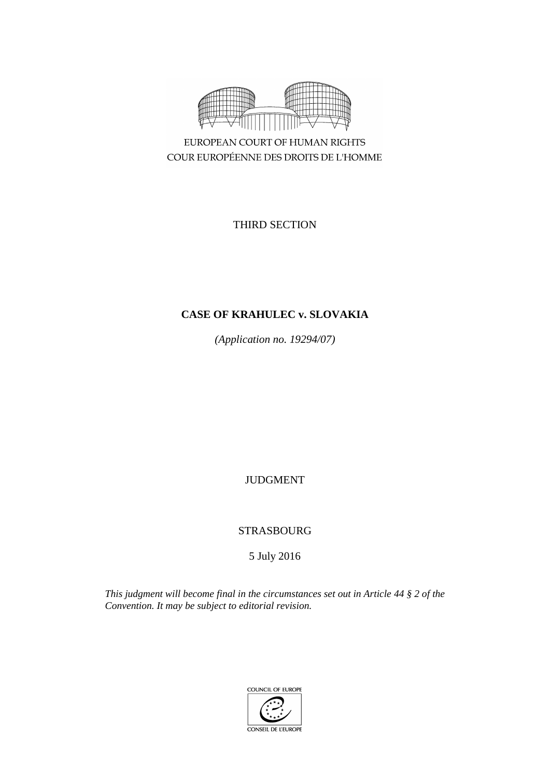

EUROPEAN COURT OF HUMAN RIGHTS COUR EUROPÉENNE DES DROITS DE L'HOMME

THIRD SECTION

# **CASE OF KRAHULEC v. SLOVAKIA**

*(Application no. 19294/07)*

JUDGMENT

STRASBOURG

5 July 2016

*This judgment will become final in the circumstances set out in Article 44 § 2 of the Convention. It may be subject to editorial revision.*

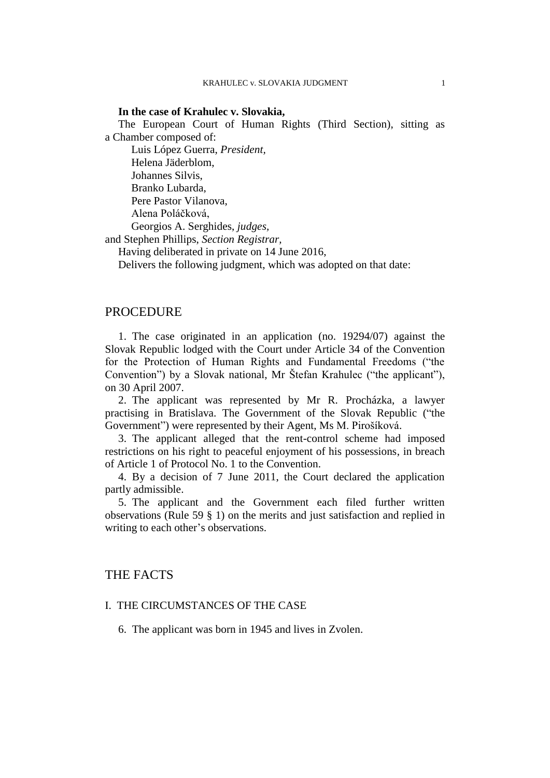### **In the case of Krahulec v. Slovakia,**

The European Court of Human Rights (Third Section), sitting as a Chamber composed of:

Luis López Guerra, *President,* Helena Jäderblom, Johannes Silvis, Branko Lubarda, Pere Pastor Vilanova, Alena Poláčková, Georgios A. Serghides, *judges,*

and Stephen Phillips, *Section Registrar,*

Having deliberated in private on 14 June 2016,

Delivers the following judgment, which was adopted on that date:

## PROCEDURE

1. The case originated in an application (no. 19294/07) against the Slovak Republic lodged with the Court under Article 34 of the Convention for the Protection of Human Rights and Fundamental Freedoms ("the Convention") by a Slovak national, Mr Štefan Krahulec ("the applicant"), on 30 April 2007.

2. The applicant was represented by Mr R. Procházka, a lawyer practising in Bratislava. The Government of the Slovak Republic ("the Government") were represented by their Agent, Ms M. Pirošíková.

3. The applicant alleged that the rent-control scheme had imposed restrictions on his right to peaceful enjoyment of his possessions, in breach of Article 1 of Protocol No. 1 to the Convention.

4. By a decision of 7 June 2011, the Court declared the application partly admissible.

5. The applicant and the Government each filed further written observations (Rule 59 § 1) on the merits and just satisfaction and replied in writing to each other's observations.

## THE FACTS

### I. THE CIRCUMSTANCES OF THE CASE

6. The applicant was born in 1945 and lives in Zvolen.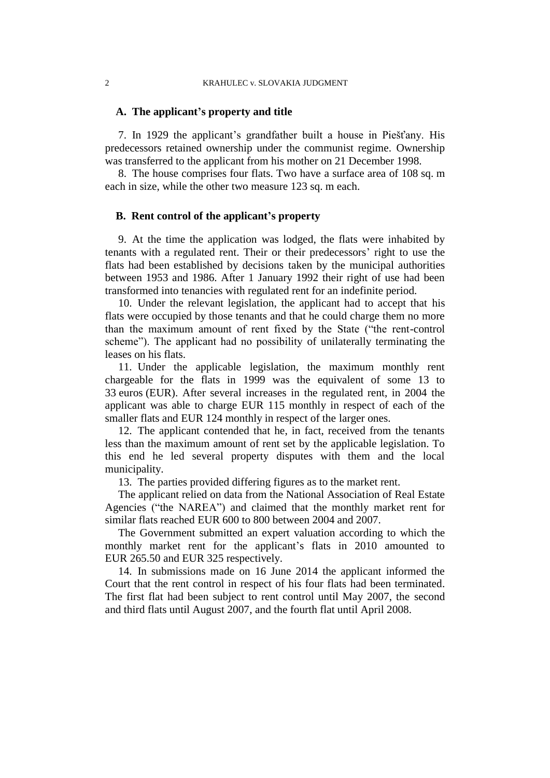### **A. The applicant's property and title**

<span id="page-3-0"></span>7. In 1929 the applicant's grandfather built a house in Piešťany. His predecessors retained ownership under the communist regime. Ownership was transferred to the applicant from his mother on 21 December 1998.

<span id="page-3-4"></span>8. The house comprises four flats. Two have a surface area of 108 sq. m each in size, while the other two measure 123 sq. m each.

## **B. Rent control of the applicant's property**

9. At the time the application was lodged, the flats were inhabited by tenants with a regulated rent. Their or their predecessors' right to use the flats had been established by decisions taken by the municipal authorities between 1953 and 1986. After 1 January 1992 their right of use had been transformed into tenancies with regulated rent for an indefinite period.

10. Under the relevant legislation, the applicant had to accept that his flats were occupied by those tenants and that he could charge them no more than the maximum amount of rent fixed by the State ("the rent-control scheme"). The applicant had no possibility of unilaterally terminating the leases on his flats.

<span id="page-3-3"></span>11. Under the applicable legislation, the maximum monthly rent chargeable for the flats in 1999 was the equivalent of some 13 to 33 euros (EUR). After several increases in the regulated rent, in 2004 the applicant was able to charge EUR 115 monthly in respect of each of the smaller flats and EUR 124 monthly in respect of the larger ones.

12. The applicant contended that he, in fact, received from the tenants less than the maximum amount of rent set by the applicable legislation. To this end he led several property disputes with them and the local municipality.

13. The parties provided differing figures as to the market rent.

<span id="page-3-2"></span>The applicant relied on data from the National Association of Real Estate Agencies ("the NAREA") and claimed that the monthly market rent for similar flats reached EUR 600 to 800 between 2004 and 2007.

The Government submitted an expert valuation according to which the monthly market rent for the applicant's flats in 2010 amounted to EUR 265.50 and EUR 325 respectively.

<span id="page-3-1"></span>14. In submissions made on 16 June 2014 the applicant informed the Court that the rent control in respect of his four flats had been terminated. The first flat had been subject to rent control until May 2007, the second and third flats until August 2007, and the fourth flat until April 2008.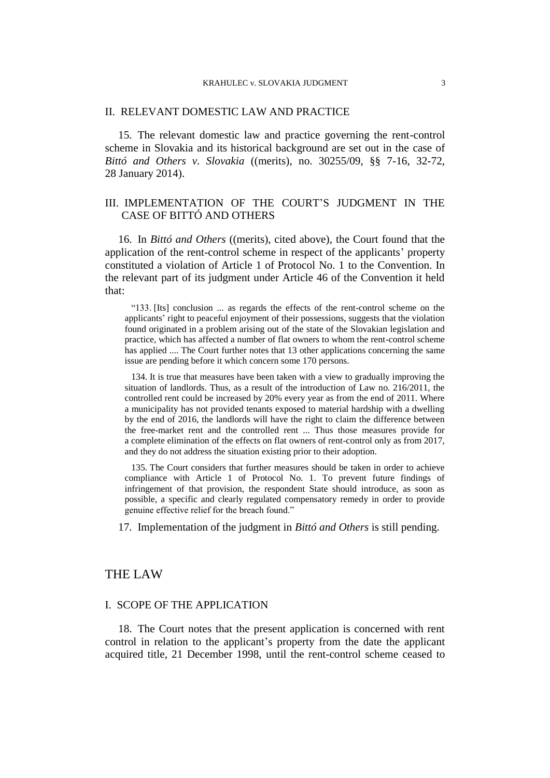### II. RELEVANT DOMESTIC LAW AND PRACTICE

15. The relevant domestic law and practice governing the rent-control scheme in Slovakia and its historical background are set out in the case of *Bittó and Others v. Slovakia* ((merits), no. 30255/09, §§ 7-16, 32-72, 28 January 2014).

## III. IMPLEMENTATION OF THE COURT'S JUDGMENT IN THE CASE OF BITTÓ AND OTHERS

16. In *Bittó and Others* ((merits), cited above), the Court found that the application of the rent-control scheme in respect of the applicants' property constituted a violation of Article 1 of Protocol No. 1 to the Convention. In the relevant part of its judgment under Article 46 of the Convention it held that:

"133. [Its] conclusion ... as regards the effects of the rent-control scheme on the applicants' right to peaceful enjoyment of their possessions, suggests that the violation found originated in a problem arising out of the state of the Slovakian legislation and practice, which has affected a number of flat owners to whom the rent-control scheme has applied .... The Court further notes that 13 other applications concerning the same issue are pending before it which concern some 170 persons.

134. It is true that measures have been taken with a view to gradually improving the situation of landlords. Thus, as a result of the introduction of Law no. 216/2011, the controlled rent could be increased by 20% every year as from the end of 2011. Where a municipality has not provided tenants exposed to material hardship with a dwelling by the end of 2016, the landlords will have the right to claim the difference between the free-market rent and the controlled rent ... Thus those measures provide for a complete elimination of the effects on flat owners of rent-control only as from 2017, and they do not address the situation existing prior to their adoption.

135. The Court considers that further measures should be taken in order to achieve compliance with Article 1 of Protocol No. 1. To prevent future findings of infringement of that provision, the respondent State should introduce, as soon as possible, a specific and clearly regulated compensatory remedy in order to provide genuine effective relief for the breach found."

17. Implementation of the judgment in *Bittó and Others* is still pending.

## THE LAW

### I. SCOPE OF THE APPLICATION

<span id="page-4-0"></span>18. The Court notes that the present application is concerned with rent control in relation to the applicant's property from the date the applicant acquired title, 21 December 1998, until the rent-control scheme ceased to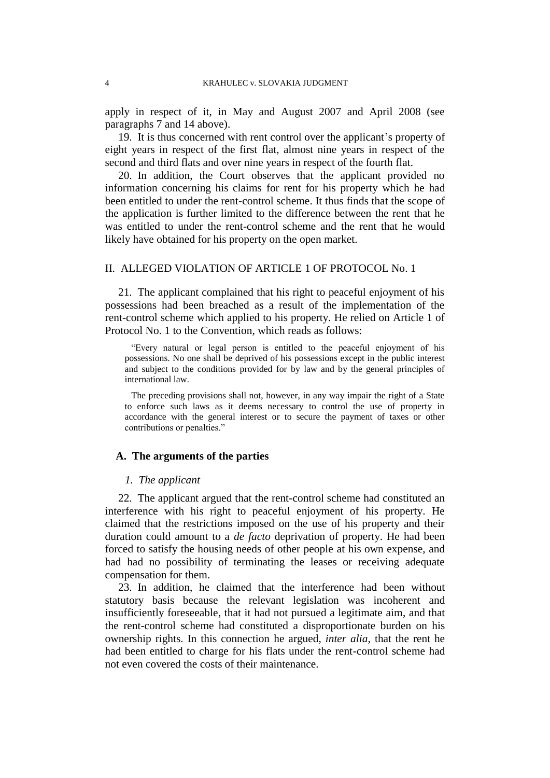apply in respect of it, in May and August 2007 and April 2008 (see paragraphs [7](#page-3-0) and [14](#page-3-1) above).

<span id="page-5-1"></span>19. It is thus concerned with rent control over the applicant's property of eight years in respect of the first flat, almost nine years in respect of the second and third flats and over nine years in respect of the fourth flat.

<span id="page-5-0"></span>20. In addition, the Court observes that the applicant provided no information concerning his claims for rent for his property which he had been entitled to under the rent-control scheme. It thus finds that the scope of the application is further limited to the difference between the rent that he was entitled to under the rent-control scheme and the rent that he would likely have obtained for his property on the open market.

## II. ALLEGED VIOLATION OF ARTICLE 1 OF PROTOCOL No. 1

21. The applicant complained that his right to peaceful enjoyment of his possessions had been breached as a result of the implementation of the rent-control scheme which applied to his property. He relied on Article 1 of Protocol No. 1 to the Convention, which reads as follows:

"Every natural or legal person is entitled to the peaceful enjoyment of his possessions. No one shall be deprived of his possessions except in the public interest and subject to the conditions provided for by law and by the general principles of international law.

The preceding provisions shall not, however, in any way impair the right of a State to enforce such laws as it deems necessary to control the use of property in accordance with the general interest or to secure the payment of taxes or other contributions or penalties."

#### **A. The arguments of the parties**

### *1. The applicant*

22. The applicant argued that the rent-control scheme had constituted an interference with his right to peaceful enjoyment of his property. He claimed that the restrictions imposed on the use of his property and their duration could amount to a *de facto* deprivation of property. He had been forced to satisfy the housing needs of other people at his own expense, and had had no possibility of terminating the leases or receiving adequate compensation for them.

23. In addition, he claimed that the interference had been without statutory basis because the relevant legislation was incoherent and insufficiently foreseeable, that it had not pursued a legitimate aim, and that the rent-control scheme had constituted a disproportionate burden on his ownership rights. In this connection he argued, *inter alia,* that the rent he had been entitled to charge for his flats under the rent-control scheme had not even covered the costs of their maintenance.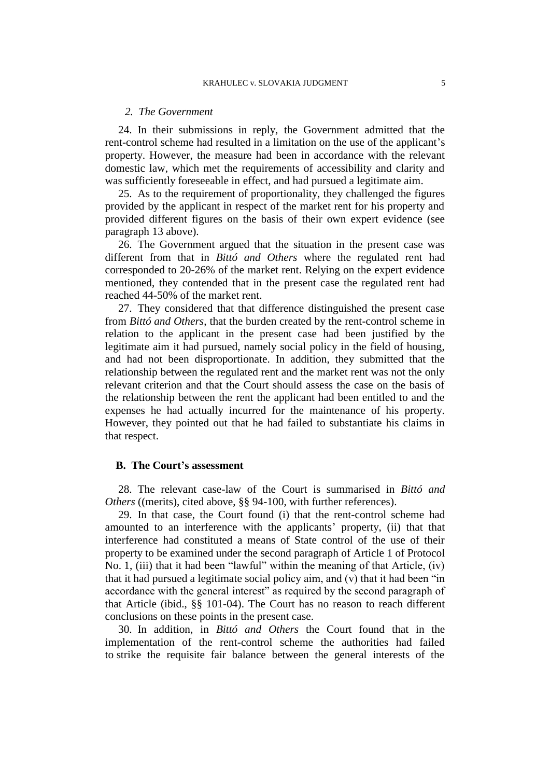#### *2. The Government*

24. In their submissions in reply, the Government admitted that the rent-control scheme had resulted in a limitation on the use of the applicant's property. However, the measure had been in accordance with the relevant domestic law, which met the requirements of accessibility and clarity and was sufficiently foreseeable in effect, and had pursued a legitimate aim.

25. As to the requirement of proportionality, they challenged the figures provided by the applicant in respect of the market rent for his property and provided different figures on the basis of their own expert evidence (see paragraph [13](#page-3-2) above).

<span id="page-6-0"></span>26. The Government argued that the situation in the present case was different from that in *Bittó and Others* where the regulated rent had corresponded to 20-26% of the market rent. Relying on the expert evidence mentioned, they contended that in the present case the regulated rent had reached 44-50% of the market rent.

27. They considered that that difference distinguished the present case from *Bittó and Others*, that the burden created by the rent-control scheme in relation to the applicant in the present case had been justified by the legitimate aim it had pursued, namely social policy in the field of housing, and had not been disproportionate. In addition, they submitted that the relationship between the regulated rent and the market rent was not the only relevant criterion and that the Court should assess the case on the basis of the relationship between the rent the applicant had been entitled to and the expenses he had actually incurred for the maintenance of his property. However, they pointed out that he had failed to substantiate his claims in that respect.

### **B. The Court's assessment**

28. The relevant case-law of the Court is summarised in *Bittó and Others* ((merits), cited above, §§ 94-100, with further references).

29. In that case, the Court found (i) that the rent-control scheme had amounted to an interference with the applicants' property, (ii) that that interference had constituted a means of State control of the use of their property to be examined under the second paragraph of Article 1 of Protocol No. 1, (iii) that it had been "lawful" within the meaning of that Article, (iv) that it had pursued a legitimate social policy aim, and (v) that it had been "in accordance with the general interest" as required by the second paragraph of that Article (ibid., §§ 101-04). The Court has no reason to reach different conclusions on these points in the present case.

30. In addition, in *Bittó and Others* the Court found that in the implementation of the rent-control scheme the authorities had failed to strike the requisite fair balance between the general interests of the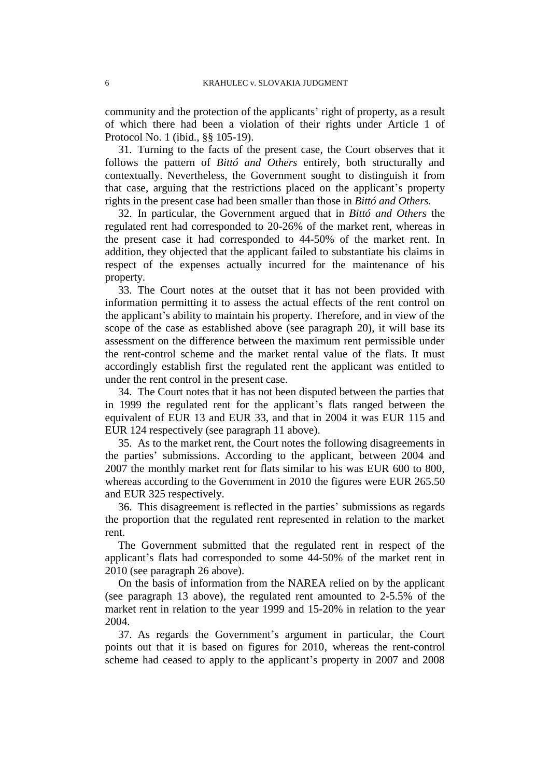community and the protection of the applicants' right of property, as a result of which there had been a violation of their rights under Article 1 of Protocol No. 1 (ibid., §§ 105-19).

31. Turning to the facts of the present case, the Court observes that it follows the pattern of *Bittó and Others* entirely, both structurally and contextually. Nevertheless, the Government sought to distinguish it from that case, arguing that the restrictions placed on the applicant's property rights in the present case had been smaller than those in *Bittó and Others.*

32. In particular, the Government argued that in *Bittó and Others* the regulated rent had corresponded to 20-26% of the market rent, whereas in the present case it had corresponded to 44-50% of the market rent. In addition, they objected that the applicant failed to substantiate his claims in respect of the expenses actually incurred for the maintenance of his property.

33. The Court notes at the outset that it has not been provided with information permitting it to assess the actual effects of the rent control on the applicant's ability to maintain his property. Therefore, and in view of the scope of the case as established above (see paragraph [20\)](#page-5-0), it will base its assessment on the difference between the maximum rent permissible under the rent-control scheme and the market rental value of the flats. It must accordingly establish first the regulated rent the applicant was entitled to under the rent control in the present case.

34. The Court notes that it has not been disputed between the parties that in 1999 the regulated rent for the applicant's flats ranged between the equivalent of EUR 13 and EUR 33, and that in 2004 it was EUR 115 and EUR 124 respectively (see paragraph [11](#page-3-3) above).

35. As to the market rent, the Court notes the following disagreements in the parties' submissions. According to the applicant, between 2004 and 2007 the monthly market rent for flats similar to his was EUR 600 to 800, whereas according to the Government in 2010 the figures were EUR 265.50 and EUR 325 respectively.

36. This disagreement is reflected in the parties' submissions as regards the proportion that the regulated rent represented in relation to the market rent.

The Government submitted that the regulated rent in respect of the applicant's flats had corresponded to some 44-50% of the market rent in 2010 (see paragraph [26](#page-6-0) above).

On the basis of information from the NAREA relied on by the applicant (see paragraph [13](#page-3-2) above), the regulated rent amounted to 2-5.5% of the market rent in relation to the year 1999 and 15-20% in relation to the year 2004.

37. As regards the Government's argument in particular, the Court points out that it is based on figures for 2010, whereas the rent-control scheme had ceased to apply to the applicant's property in 2007 and 2008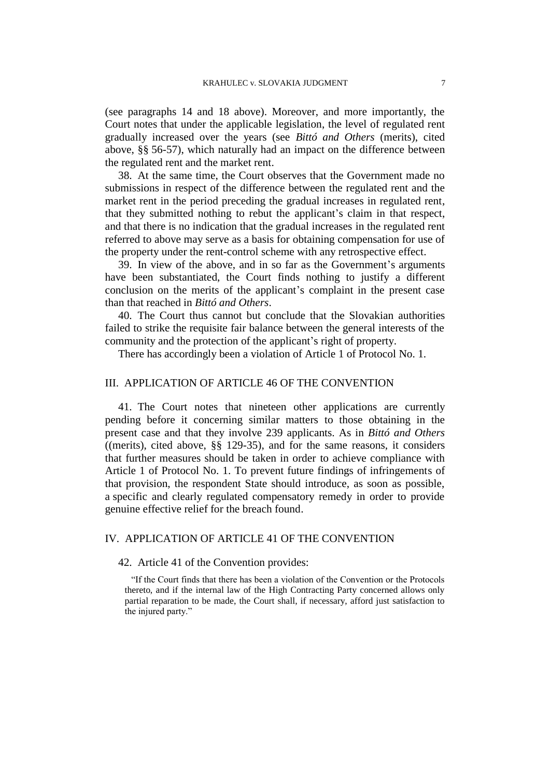(see paragraphs [14](#page-3-1) and [18](#page-4-0) above). Moreover, and more importantly, the Court notes that under the applicable legislation, the level of regulated rent gradually increased over the years (see *Bittó and Others* (merits), cited above, §§ 56-57), which naturally had an impact on the difference between the regulated rent and the market rent.

38. At the same time, the Court observes that the Government made no submissions in respect of the difference between the regulated rent and the market rent in the period preceding the gradual increases in regulated rent, that they submitted nothing to rebut the applicant's claim in that respect, and that there is no indication that the gradual increases in the regulated rent referred to above may serve as a basis for obtaining compensation for use of the property under the rent-control scheme with any retrospective effect.

39. In view of the above, and in so far as the Government's arguments have been substantiated, the Court finds nothing to justify a different conclusion on the merits of the applicant's complaint in the present case than that reached in *Bittó and Others*.

40. The Court thus cannot but conclude that the Slovakian authorities failed to strike the requisite fair balance between the general interests of the community and the protection of the applicant's right of property.

There has accordingly been a violation of Article 1 of Protocol No. 1.

## III. APPLICATION OF ARTICLE 46 OF THE CONVENTION

41. The Court notes that nineteen other applications are currently pending before it concerning similar matters to those obtaining in the present case and that they involve 239 applicants. As in *Bittó and Others* ((merits), cited above, §§ 129-35), and for the same reasons, it considers that further measures should be taken in order to achieve compliance with Article 1 of Protocol No. 1. To prevent future findings of infringements of that provision, the respondent State should introduce, as soon as possible, a specific and clearly regulated compensatory remedy in order to provide genuine effective relief for the breach found.

## IV. APPLICATION OF ARTICLE 41 OF THE CONVENTION

### 42. Article 41 of the Convention provides:

"If the Court finds that there has been a violation of the Convention or the Protocols thereto, and if the internal law of the High Contracting Party concerned allows only partial reparation to be made, the Court shall, if necessary, afford just satisfaction to the injured party."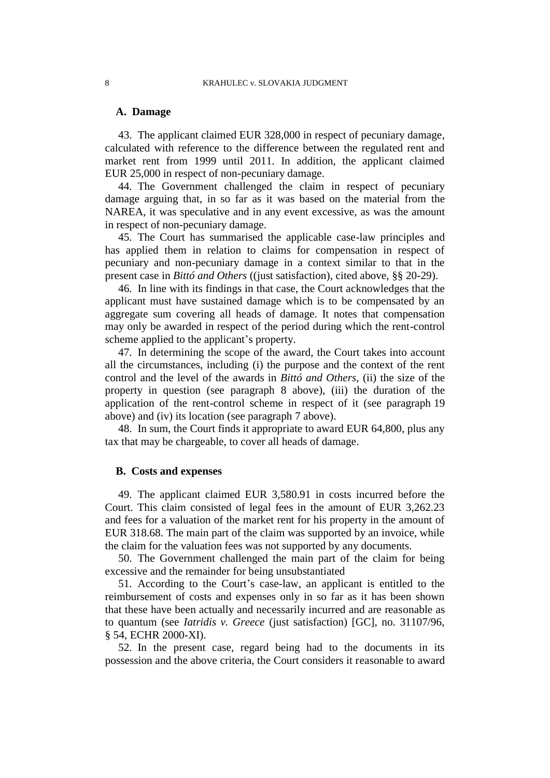## **A. Damage**

43. The applicant claimed EUR 328,000 in respect of pecuniary damage, calculated with reference to the difference between the regulated rent and market rent from 1999 until 2011. In addition, the applicant claimed EUR 25,000 in respect of non-pecuniary damage.

44. The Government challenged the claim in respect of pecuniary damage arguing that, in so far as it was based on the material from the NAREA, it was speculative and in any event excessive, as was the amount in respect of non-pecuniary damage.

45. The Court has summarised the applicable case-law principles and has applied them in relation to claims for compensation in respect of pecuniary and non-pecuniary damage in a context similar to that in the present case in *Bittó and Others* ((just satisfaction), cited above, §§ 20-29).

46. In line with its findings in that case, the Court acknowledges that the applicant must have sustained damage which is to be compensated by an aggregate sum covering all heads of damage. It notes that compensation may only be awarded in respect of the period during which the rent-control scheme applied to the applicant's property.

47. In determining the scope of the award, the Court takes into account all the circumstances, including (i) the purpose and the context of the rent control and the level of the awards in *Bittó and Others*, (ii) the size of the property in question (see paragraph [8](#page-3-4) above), (iii) the duration of the application of the rent-control scheme in respect of it (see paragraph [19](#page-5-1) above) and (iv) its location (see paragraph [7](#page-3-0) above).

48. In sum, the Court finds it appropriate to award EUR 64,800, plus any tax that may be chargeable, to cover all heads of damage.

## **B. Costs and expenses**

49. The applicant claimed EUR 3,580.91 in costs incurred before the Court. This claim consisted of legal fees in the amount of EUR 3,262.23 and fees for a valuation of the market rent for his property in the amount of EUR 318.68. The main part of the claim was supported by an invoice, while the claim for the valuation fees was not supported by any documents.

50. The Government challenged the main part of the claim for being excessive and the remainder for being unsubstantiated

51. According to the Court's case-law, an applicant is entitled to the reimbursement of costs and expenses only in so far as it has been shown that these have been actually and necessarily incurred and are reasonable as to quantum (see *Iatridis v. Greece* (just satisfaction) [GC], no. 31107/96, § 54, ECHR 2000-XI).

52. In the present case, regard being had to the documents in its possession and the above criteria, the Court considers it reasonable to award